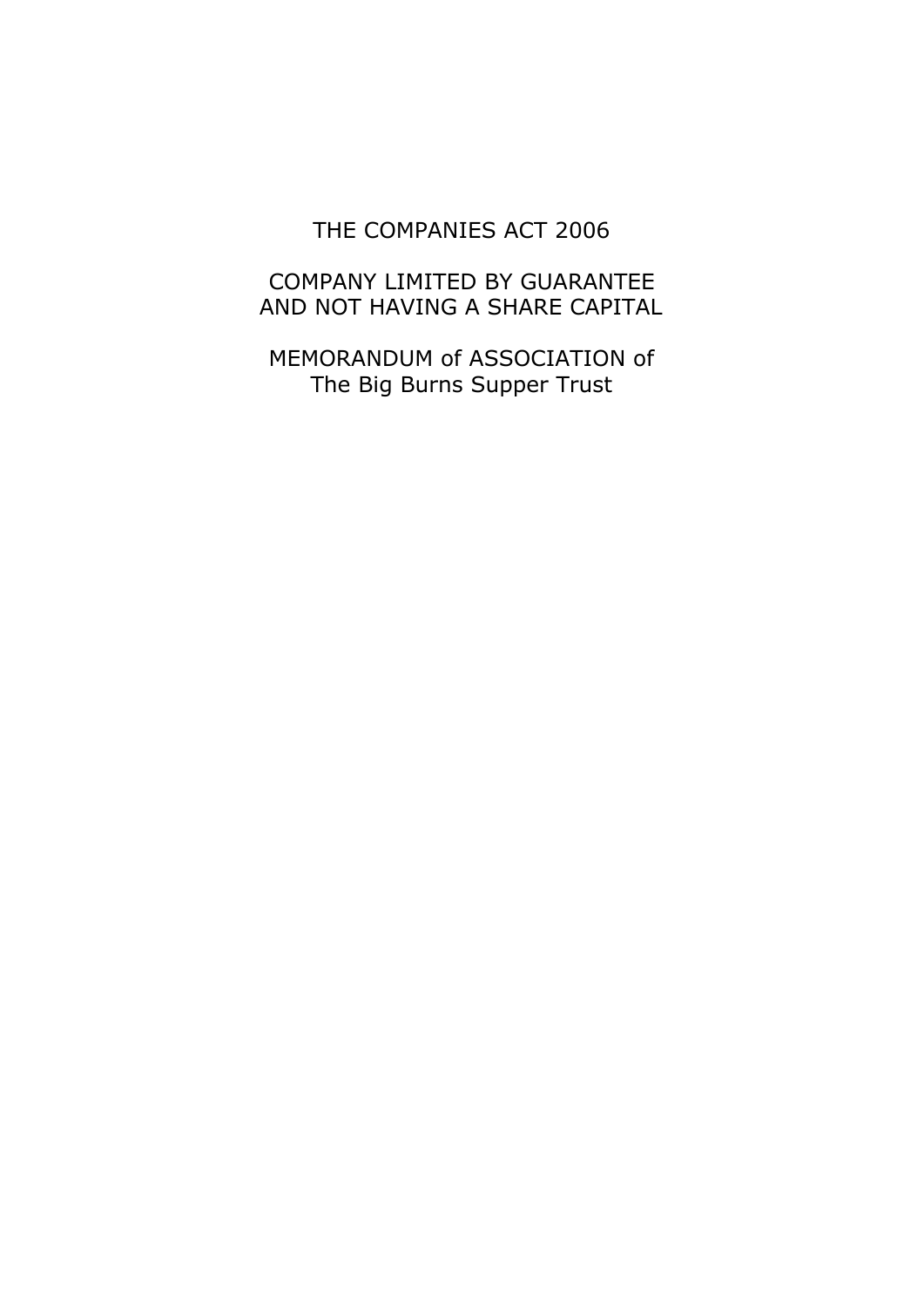#### THE COMPANIES ACT 2006

#### COMPANY LIMITED BY GUARANTEE AND NOT HAVING A SHARE CAPITAL

MEMORANDUM of ASSOCIATION of The Big Burns Supper Trust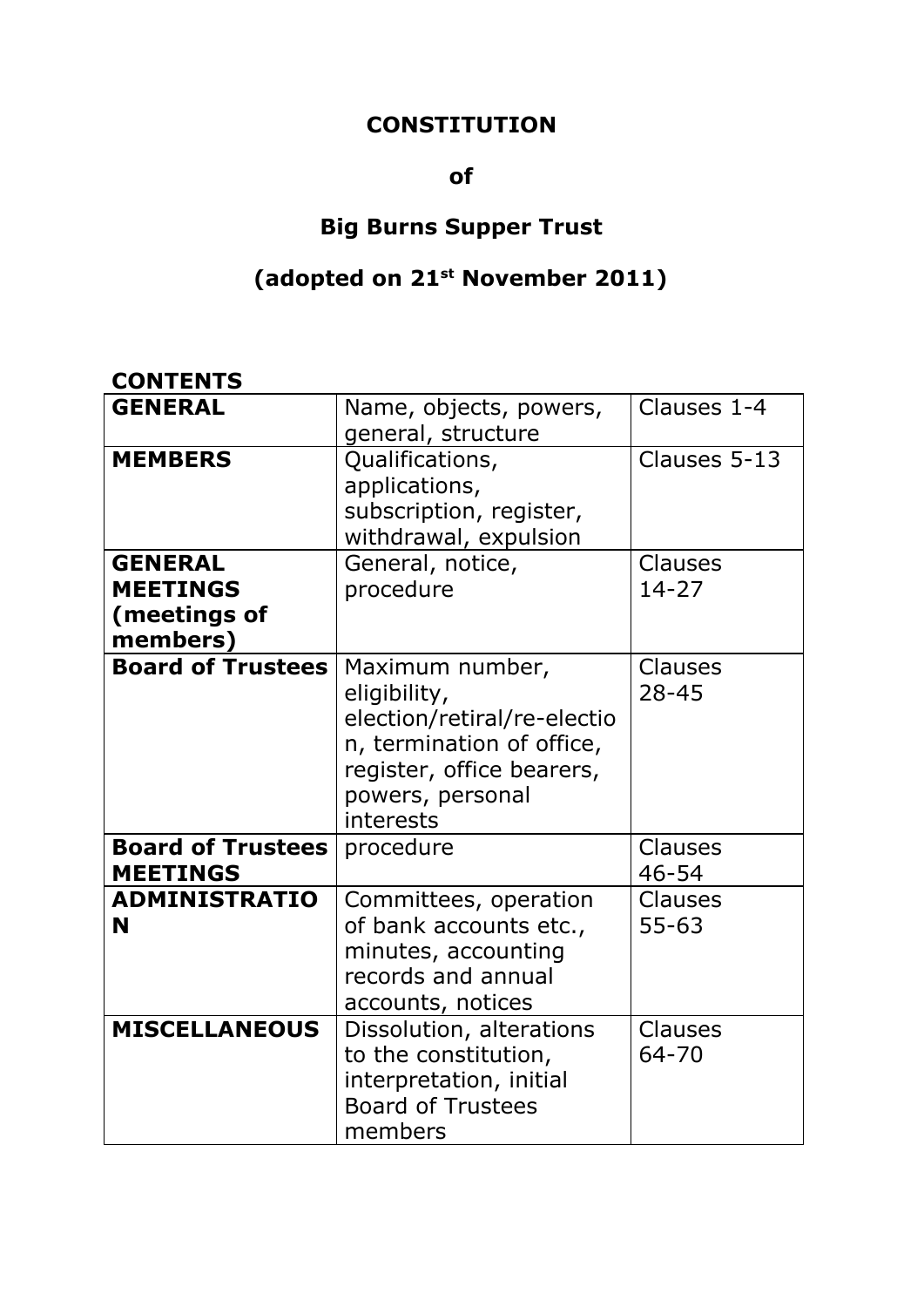#### **CONSTITUTION**

#### **of**

# **Big Burns Supper Trust**

#### **(adopted on 21 st November 2011)**

### **CONTENTS**

| <b>GENERAL</b>                                                | Name, objects, powers,                                                                                                                                    | Clauses 1-4          |
|---------------------------------------------------------------|-----------------------------------------------------------------------------------------------------------------------------------------------------------|----------------------|
|                                                               | general, structure                                                                                                                                        |                      |
| <b>MEMBERS</b>                                                | Qualifications,<br>applications,<br>subscription, register,<br>withdrawal, expulsion                                                                      | Clauses 5-13         |
| <b>GENERAL</b><br><b>MEETINGS</b><br>(meetings of<br>members) | General, notice,<br>procedure                                                                                                                             | Clauses<br>$14 - 27$ |
| <b>Board of Trustees</b>                                      | Maximum number,<br>eligibility,<br>election/retiral/re-electio<br>n, termination of office,<br>register, office bearers,<br>powers, personal<br>interests | Clauses<br>$28 - 45$ |
| <b>Board of Trustees</b><br><b>MEETINGS</b>                   | procedure                                                                                                                                                 | Clauses<br>46-54     |
| <b>ADMINISTRATIO</b><br>N                                     | Committees, operation<br>of bank accounts etc.,<br>minutes, accounting<br>records and annual<br>accounts, notices                                         | Clauses<br>$55 - 63$ |
| <b>MISCELLANEOUS</b>                                          | Dissolution, alterations<br>to the constitution,<br>interpretation, initial<br><b>Board of Trustees</b><br>members                                        | Clauses<br>64-70     |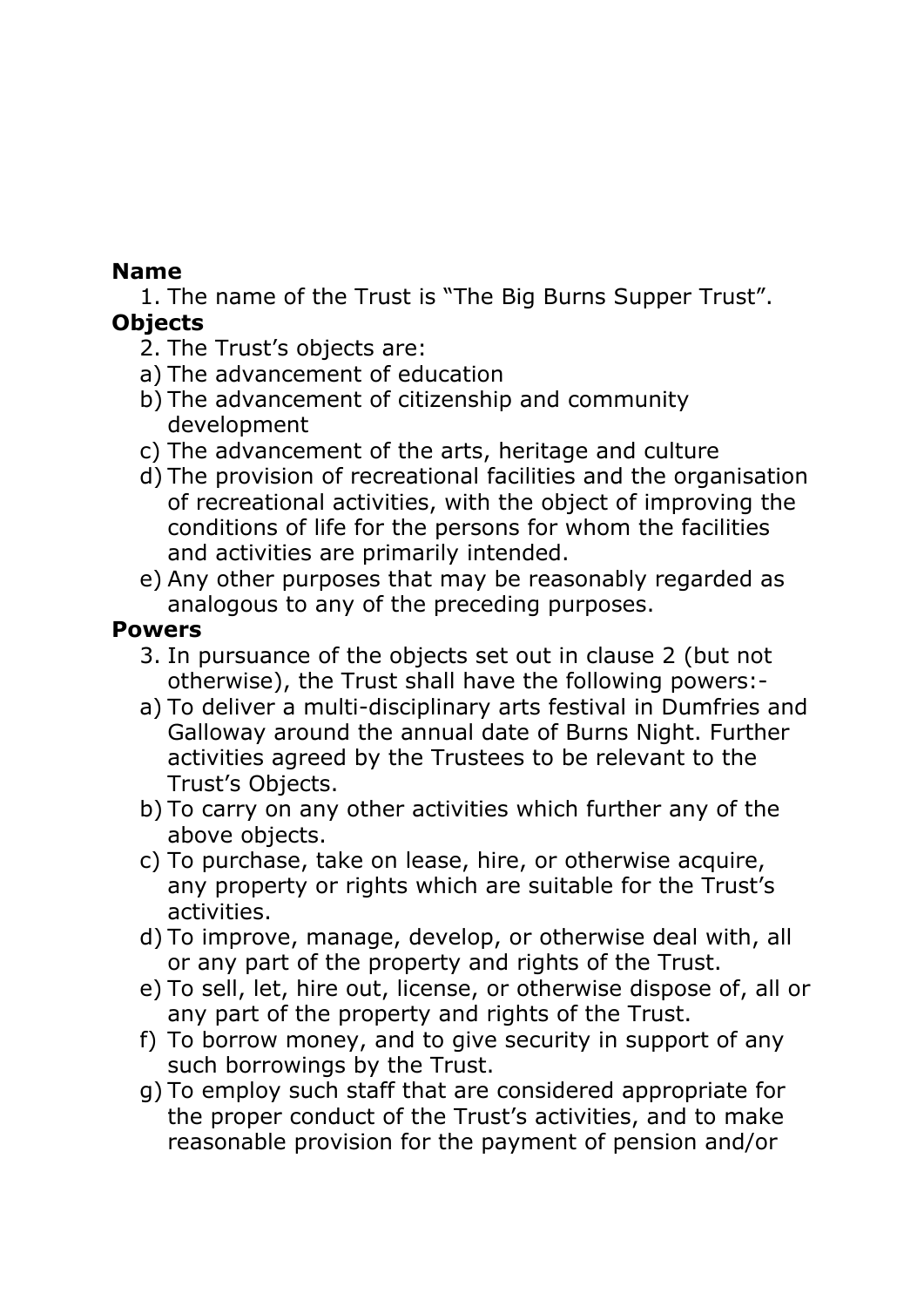## **Name**

1. The name of the Trust is "The Big Burns Supper Trust". **Objects**

- 2. The Trust's objects are:
- a) The advancement of education
- b) The advancement of citizenship and community development
- c) The advancement of the arts, heritage and culture
- d) The provision of recreational facilities and the organisation of recreational activities, with the object of improving the conditions of life for the persons for whom the facilities and activities are primarily intended.
- e) Any other purposes that may be reasonably regarded as analogous to any of the preceding purposes.

### **Powers**

- 3. In pursuance of the objects set out in clause 2 (but not otherwise), the Trust shall have the following powers:-
- a) To deliver a multi-disciplinary arts festival in Dumfries and Galloway around the annual date of Burns Night. Further activities agreed by the Trustees to be relevant to the Trust's Objects.
- b) To carry on any other activities which further any of the above objects.
- c) To purchase, take on lease, hire, or otherwise acquire, any property or rights which are suitable for the Trust's activities.
- d) To improve, manage, develop, or otherwise deal with, all or any part of the property and rights of the Trust.
- e) To sell, let, hire out, license, or otherwise dispose of, all or any part of the property and rights of the Trust.
- f) To borrow money, and to give security in support of any such borrowings by the Trust.
- g) To employ such staff that are considered appropriate for the proper conduct of the Trust's activities, and to make reasonable provision for the payment of pension and/or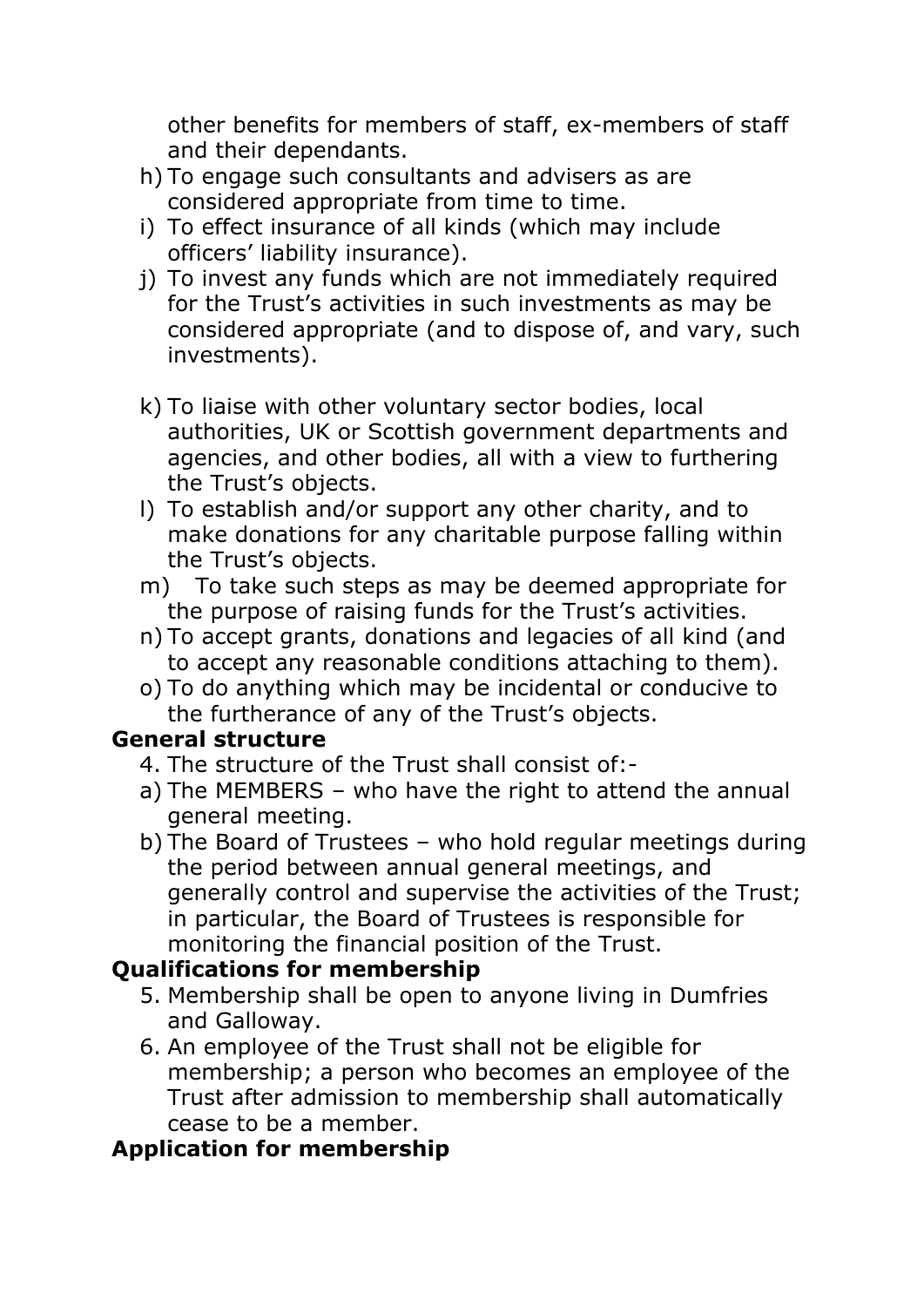other benefits for members of staff, ex-members of staff and their dependants.

- h) To engage such consultants and advisers as are considered appropriate from time to time.
- i) To effect insurance of all kinds (which may include officers' liability insurance).
- j) To invest any funds which are not immediately required for the Trust's activities in such investments as may be considered appropriate (and to dispose of, and vary, such investments).
- k) To liaise with other voluntary sector bodies, local authorities, UK or Scottish government departments and agencies, and other bodies, all with a view to furthering the Trust's objects.
- l) To establish and/or support any other charity, and to make donations for any charitable purpose falling within the Trust's objects.
- m) To take such steps as may be deemed appropriate for the purpose of raising funds for the Trust's activities.
- n) To accept grants, donations and legacies of all kind (and to accept any reasonable conditions attaching to them).
- o) To do anything which may be incidental or conducive to the furtherance of any of the Trust's objects.

### **General structure**

- 4. The structure of the Trust shall consist of:-
- a) The MEMBERS who have the right to attend the annual general meeting.
- b) The Board of Trustees who hold regular meetings during the period between annual general meetings, and generally control and supervise the activities of the Trust; in particular, the Board of Trustees is responsible for monitoring the financial position of the Trust.

## **Qualifications for membership**

- 5. Membership shall be open to anyone living in Dumfries and Galloway.
- 6. An employee of the Trust shall not be eligible for membership; a person who becomes an employee of the Trust after admission to membership shall automatically cease to be a member.

## **Application for membership**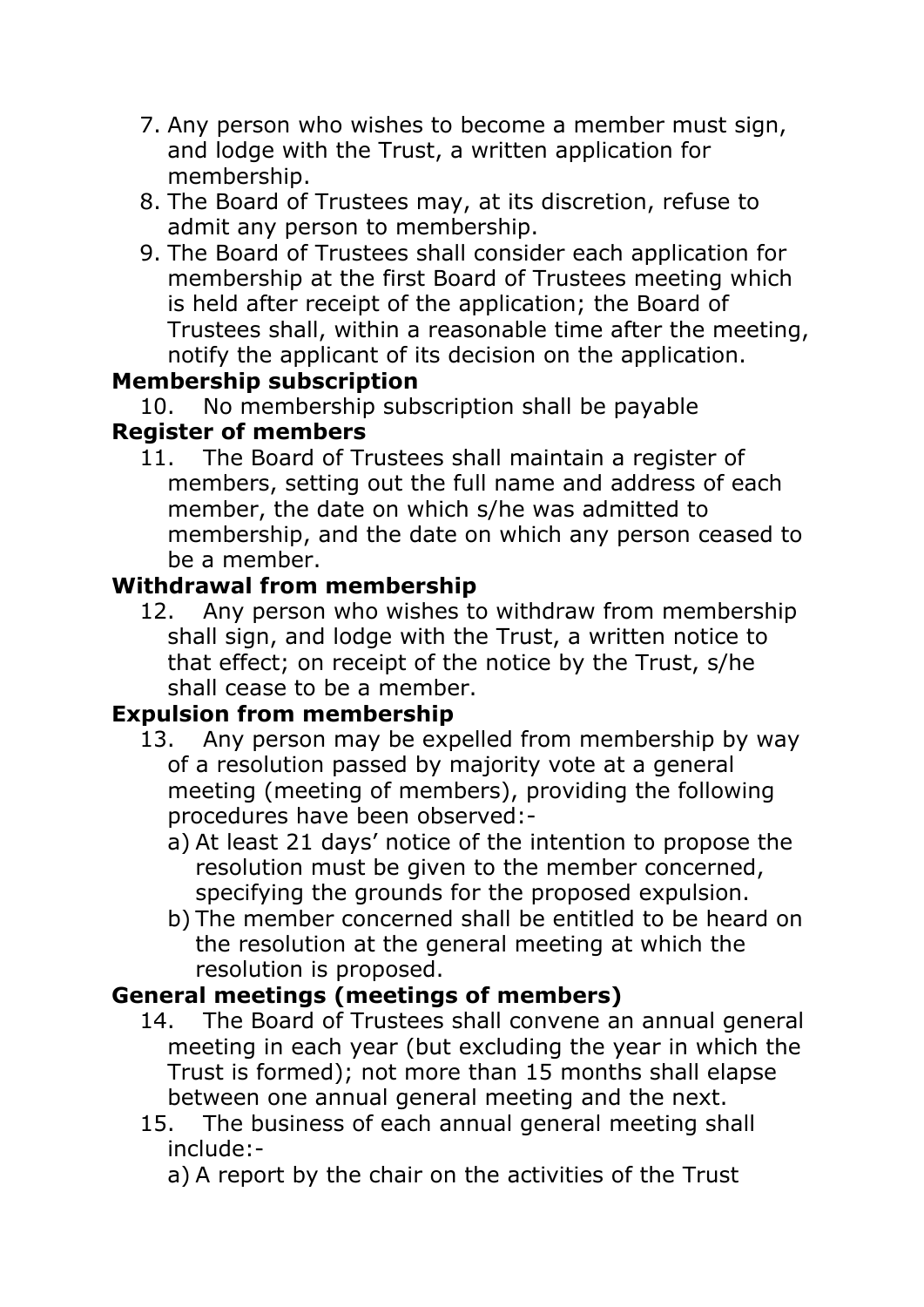- 7. Any person who wishes to become a member must sign, and lodge with the Trust, a written application for membership.
- 8. The Board of Trustees may, at its discretion, refuse to admit any person to membership.
- 9. The Board of Trustees shall consider each application for membership at the first Board of Trustees meeting which is held after receipt of the application; the Board of Trustees shall, within a reasonable time after the meeting, notify the applicant of its decision on the application.

## **Membership subscription**

10. No membership subscription shall be payable

## **Register of members**

11. The Board of Trustees shall maintain a register of members, setting out the full name and address of each member, the date on which s/he was admitted to membership, and the date on which any person ceased to be a member.

## **Withdrawal from membership**

12. Any person who wishes to withdraw from membership shall sign, and lodge with the Trust, a written notice to that effect; on receipt of the notice by the Trust, s/he shall cease to be a member.

## **Expulsion from membership**

- 13. Any person may be expelled from membership by way of a resolution passed by majority vote at a general meeting (meeting of members), providing the following procedures have been observed:
	- a) At least 21 days' notice of the intention to propose the resolution must be given to the member concerned, specifying the grounds for the proposed expulsion.
	- b) The member concerned shall be entitled to be heard on the resolution at the general meeting at which the resolution is proposed.

## **General meetings (meetings of members)**

- 14. The Board of Trustees shall convene an annual general meeting in each year (but excluding the year in which the Trust is formed); not more than 15 months shall elapse between one annual general meeting and the next.
- 15. The business of each annual general meeting shall include:-

a) A report by the chair on the activities of the Trust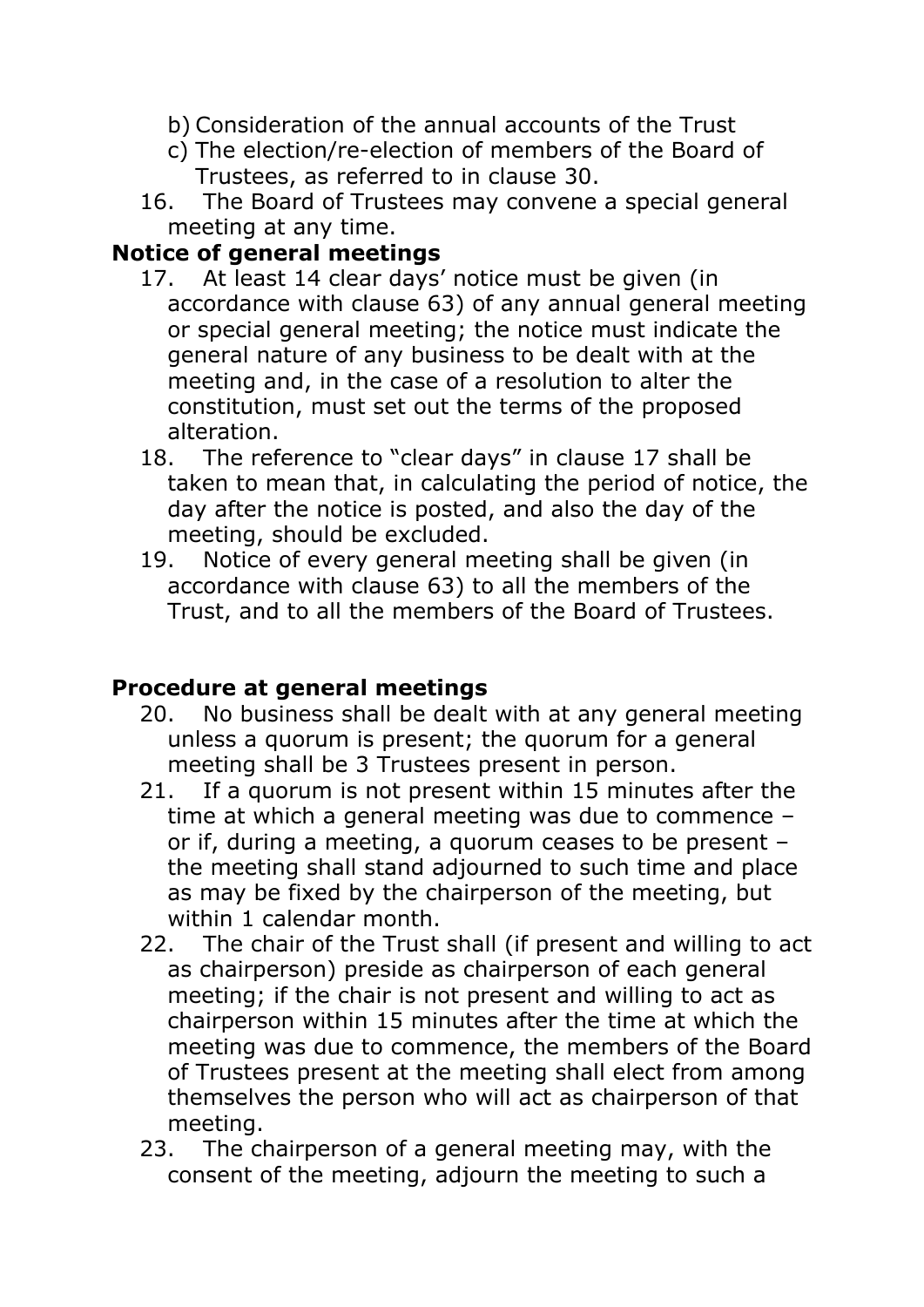- b) Consideration of the annual accounts of the Trust
- c) The election/re-election of members of the Board of Trustees, as referred to in clause 30.
- 16. The Board of Trustees may convene a special general meeting at any time.

### **Notice of general meetings**

- 17. At least 14 clear days' notice must be given (in accordance with clause 63) of any annual general meeting or special general meeting; the notice must indicate the general nature of any business to be dealt with at the meeting and, in the case of a resolution to alter the constitution, must set out the terms of the proposed alteration.
- 18. The reference to "clear days" in clause 17 shall be taken to mean that, in calculating the period of notice, the day after the notice is posted, and also the day of the meeting, should be excluded.
- 19. Notice of every general meeting shall be given (in accordance with clause 63) to all the members of the Trust, and to all the members of the Board of Trustees.

### **Procedure at general meetings**

- 20. No business shall be dealt with at any general meeting unless a quorum is present; the quorum for a general meeting shall be 3 Trustees present in person.
- 21. If a quorum is not present within 15 minutes after the time at which a general meeting was due to commence – or if, during a meeting, a quorum ceases to be present – the meeting shall stand adjourned to such time and place as may be fixed by the chairperson of the meeting, but within 1 calendar month.
- 22. The chair of the Trust shall (if present and willing to act as chairperson) preside as chairperson of each general meeting; if the chair is not present and willing to act as chairperson within 15 minutes after the time at which the meeting was due to commence, the members of the Board of Trustees present at the meeting shall elect from among themselves the person who will act as chairperson of that meeting.
- 23. The chairperson of a general meeting may, with the consent of the meeting, adjourn the meeting to such a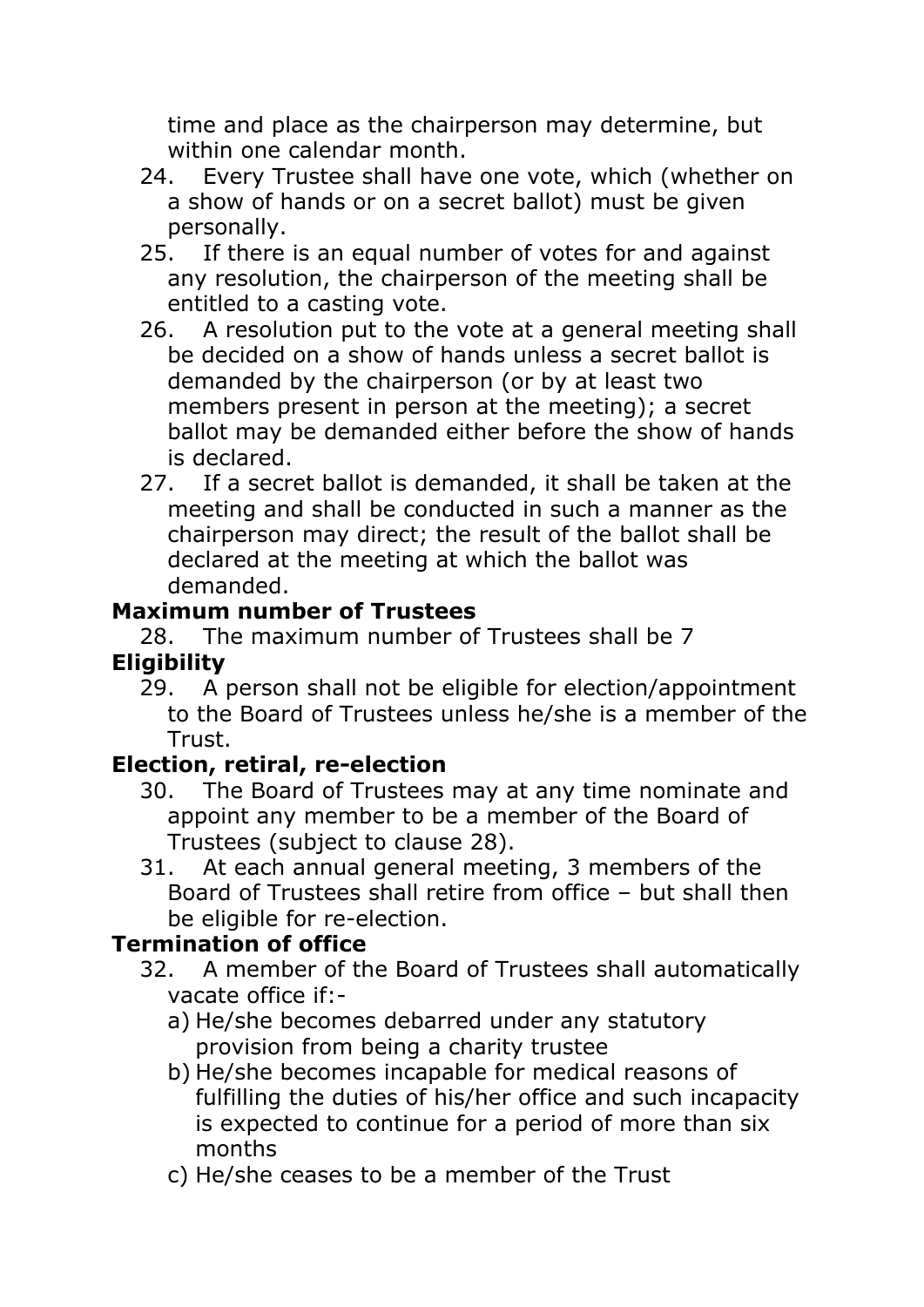time and place as the chairperson may determine, but within one calendar month.

- 24. Every Trustee shall have one vote, which (whether on a show of hands or on a secret ballot) must be given personally.
- 25. If there is an equal number of votes for and against any resolution, the chairperson of the meeting shall be entitled to a casting vote.
- 26. A resolution put to the vote at a general meeting shall be decided on a show of hands unless a secret ballot is demanded by the chairperson (or by at least two members present in person at the meeting); a secret ballot may be demanded either before the show of hands is declared.
- 27. If a secret ballot is demanded, it shall be taken at the meeting and shall be conducted in such a manner as the chairperson may direct; the result of the ballot shall be declared at the meeting at which the ballot was demanded.

## **Maximum number of Trustees**

28. The maximum number of Trustees shall be 7 **Eligibility**

29. A person shall not be eligible for election/appointment to the Board of Trustees unless he/she is a member of the Trust.

## **Election, retiral, re-election**

- 30. The Board of Trustees may at any time nominate and appoint any member to be a member of the Board of Trustees (subject to clause 28).
- 31. At each annual general meeting, 3 members of the Board of Trustees shall retire from office – but shall then be eligible for re-election.

## **Termination of office**

- 32. A member of the Board of Trustees shall automatically vacate office if:
	- a) He/she becomes debarred under any statutory provision from being a charity trustee
	- b) He/she becomes incapable for medical reasons of fulfilling the duties of his/her office and such incapacity is expected to continue for a period of more than six months
	- c) He/she ceases to be a member of the Trust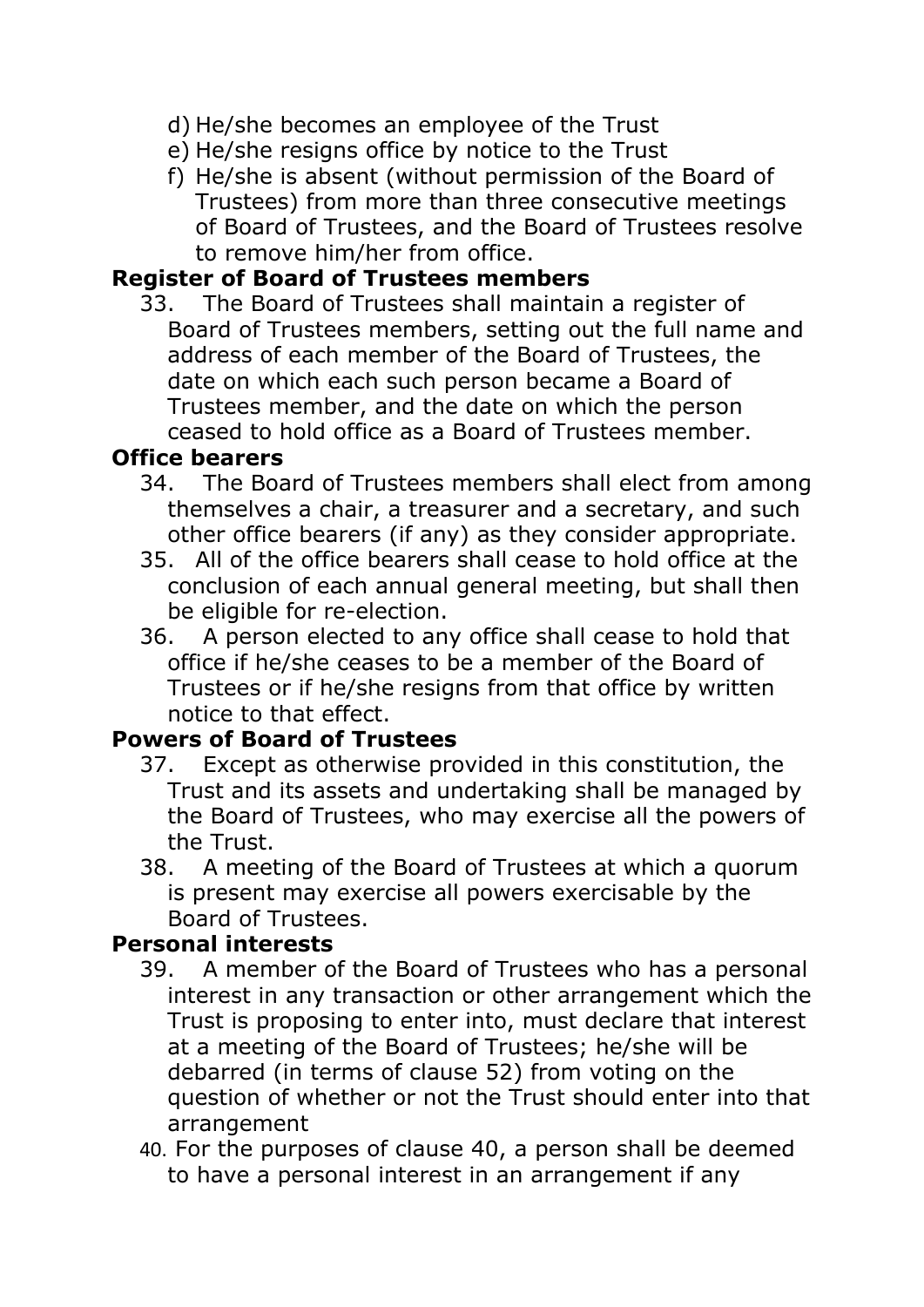- d) He/she becomes an employee of the Trust
- e) He/she resigns office by notice to the Trust
- f) He/she is absent (without permission of the Board of Trustees) from more than three consecutive meetings of Board of Trustees, and the Board of Trustees resolve to remove him/her from office.

## **Register of Board of Trustees members**

33. The Board of Trustees shall maintain a register of Board of Trustees members, setting out the full name and address of each member of the Board of Trustees, the date on which each such person became a Board of Trustees member, and the date on which the person ceased to hold office as a Board of Trustees member.

### **Office bearers**

- 34. The Board of Trustees members shall elect from among themselves a chair, a treasurer and a secretary, and such other office bearers (if any) as they consider appropriate.
- 35. All of the office bearers shall cease to hold office at the conclusion of each annual general meeting, but shall then be eligible for re-election.
- 36. A person elected to any office shall cease to hold that office if he/she ceases to be a member of the Board of Trustees or if he/she resigns from that office by written notice to that effect.

## **Powers of Board of Trustees**

- 37. Except as otherwise provided in this constitution, the Trust and its assets and undertaking shall be managed by the Board of Trustees, who may exercise all the powers of the Trust.
- 38. A meeting of the Board of Trustees at which a quorum is present may exercise all powers exercisable by the Board of Trustees.

## **Personal interests**

- 39. A member of the Board of Trustees who has a personal interest in any transaction or other arrangement which the Trust is proposing to enter into, must declare that interest at a meeting of the Board of Trustees; he/she will be debarred (in terms of clause 52) from voting on the question of whether or not the Trust should enter into that arrangement
- 40. For the purposes of clause 40, a person shall be deemed to have a personal interest in an arrangement if any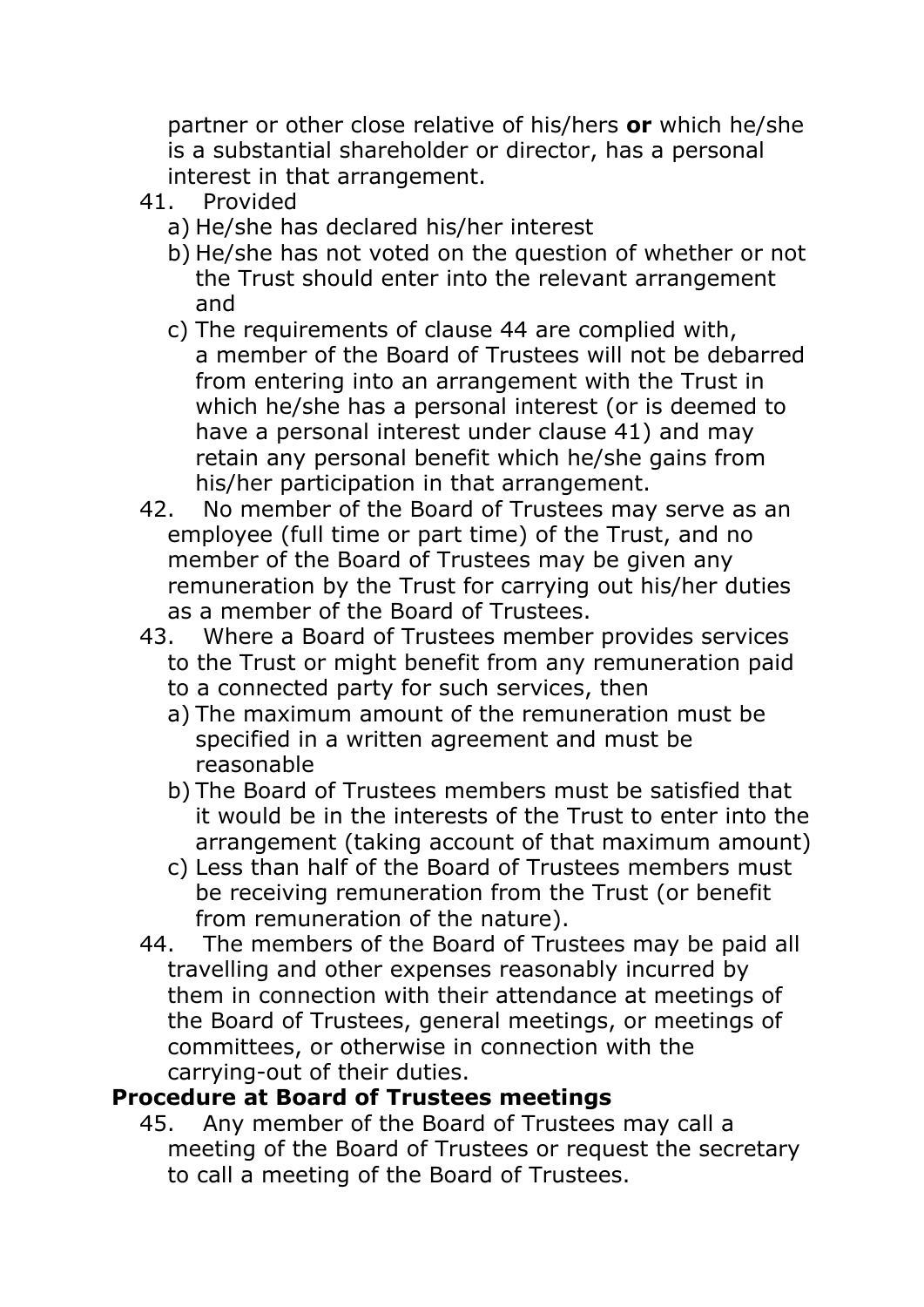partner or other close relative of his/hers **or** which he/she is a substantial shareholder or director, has a personal interest in that arrangement.

- 41. Provided
	- a) He/she has declared his/her interest
	- b) He/she has not voted on the question of whether or not the Trust should enter into the relevant arrangement and
	- c) The requirements of clause 44 are complied with, a member of the Board of Trustees will not be debarred from entering into an arrangement with the Trust in which he/she has a personal interest (or is deemed to have a personal interest under clause 41) and may retain any personal benefit which he/she gains from his/her participation in that arrangement.
- 42. No member of the Board of Trustees may serve as an employee (full time or part time) of the Trust, and no member of the Board of Trustees may be given any remuneration by the Trust for carrying out his/her duties as a member of the Board of Trustees.
- 43. Where a Board of Trustees member provides services to the Trust or might benefit from any remuneration paid
	- to a connected party for such services, then
	- a) The maximum amount of the remuneration must be specified in a written agreement and must be reasonable
	- b) The Board of Trustees members must be satisfied that it would be in the interests of the Trust to enter into the arrangement (taking account of that maximum amount)
	- c) Less than half of the Board of Trustees members must be receiving remuneration from the Trust (or benefit from remuneration of the nature).
- 44. The members of the Board of Trustees may be paid all travelling and other expenses reasonably incurred by them in connection with their attendance at meetings of the Board of Trustees, general meetings, or meetings of committees, or otherwise in connection with the carrying-out of their duties.

## **Procedure at Board of Trustees meetings**

45. Any member of the Board of Trustees may call a meeting of the Board of Trustees or request the secretary to call a meeting of the Board of Trustees.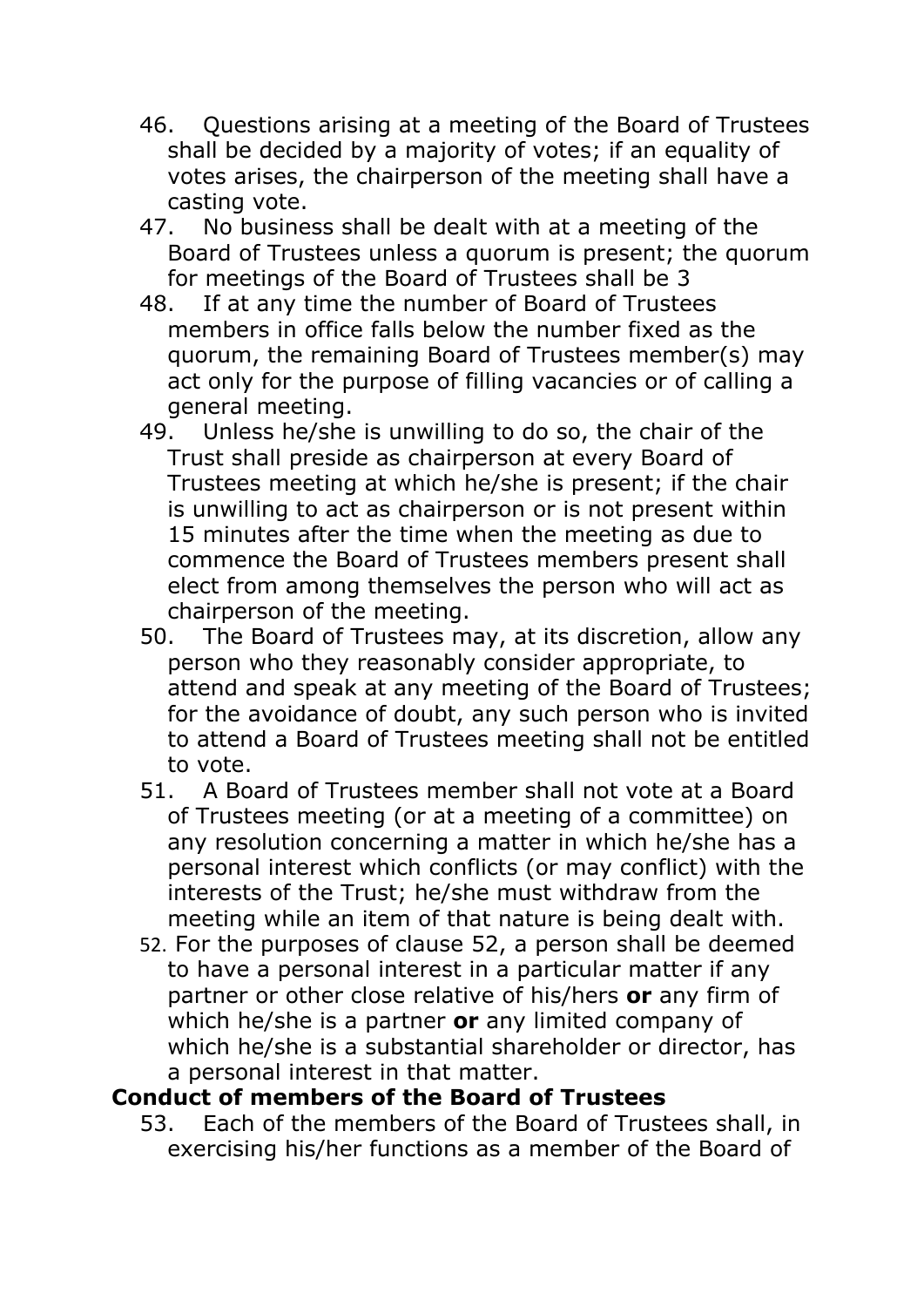- 46. Questions arising at a meeting of the Board of Trustees shall be decided by a majority of votes; if an equality of votes arises, the chairperson of the meeting shall have a casting vote.
- 47. No business shall be dealt with at a meeting of the Board of Trustees unless a quorum is present; the quorum for meetings of the Board of Trustees shall be 3
- 48. If at any time the number of Board of Trustees members in office falls below the number fixed as the quorum, the remaining Board of Trustees member(s) may act only for the purpose of filling vacancies or of calling a general meeting.
- 49. Unless he/she is unwilling to do so, the chair of the Trust shall preside as chairperson at every Board of Trustees meeting at which he/she is present; if the chair is unwilling to act as chairperson or is not present within 15 minutes after the time when the meeting as due to commence the Board of Trustees members present shall elect from among themselves the person who will act as chairperson of the meeting.
- 50. The Board of Trustees may, at its discretion, allow any person who they reasonably consider appropriate, to attend and speak at any meeting of the Board of Trustees; for the avoidance of doubt, any such person who is invited to attend a Board of Trustees meeting shall not be entitled to vote.
- 51. A Board of Trustees member shall not vote at a Board of Trustees meeting (or at a meeting of a committee) on any resolution concerning a matter in which he/she has a personal interest which conflicts (or may conflict) with the interests of the Trust; he/she must withdraw from the meeting while an item of that nature is being dealt with.
- 52. For the purposes of clause 52, a person shall be deemed to have a personal interest in a particular matter if any partner or other close relative of his/hers **or** any firm of which he/she is a partner **or** any limited company of which he/she is a substantial shareholder or director, has a personal interest in that matter.

### **Conduct of members of the Board of Trustees**

53. Each of the members of the Board of Trustees shall, in exercising his/her functions as a member of the Board of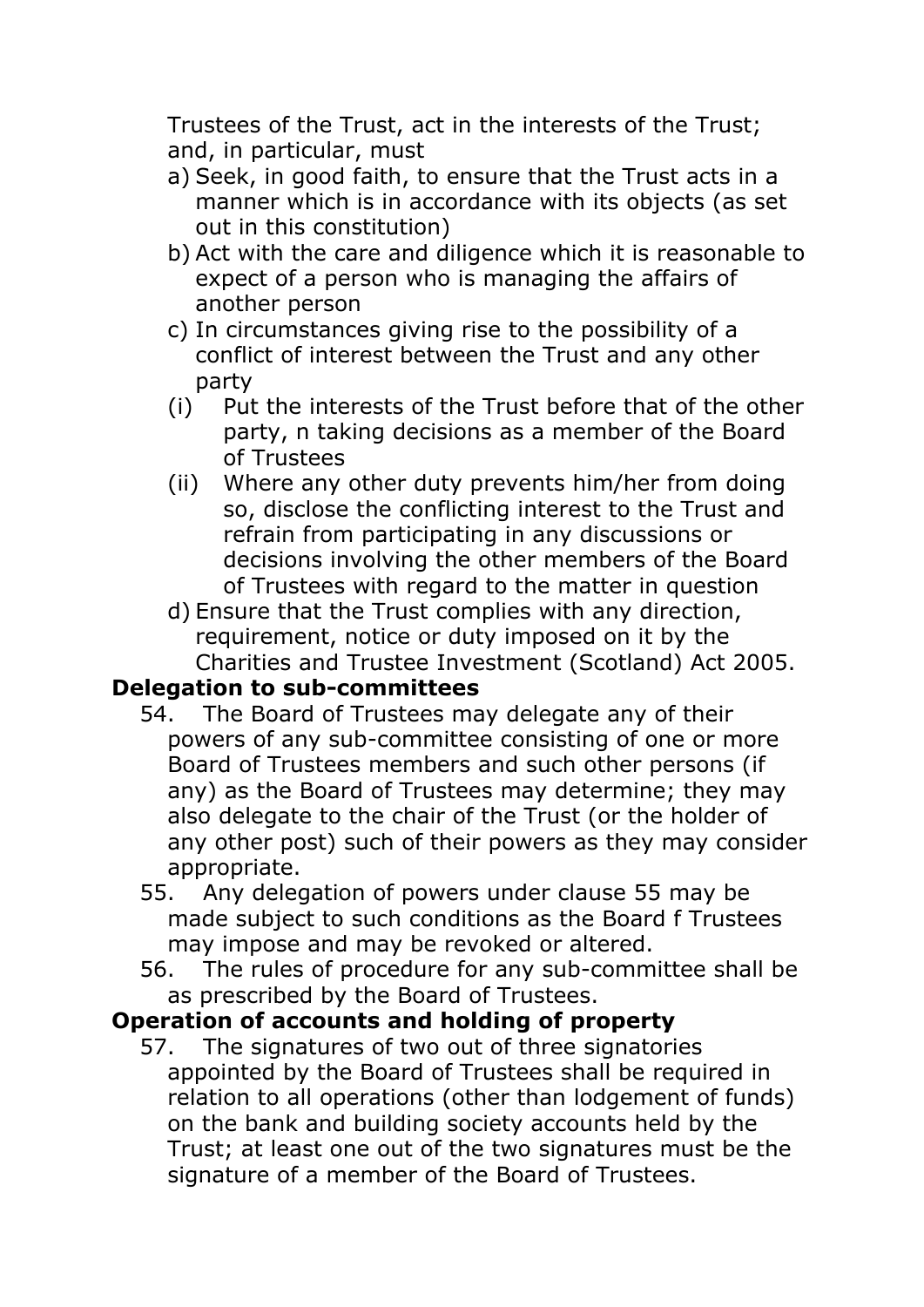Trustees of the Trust, act in the interests of the Trust; and, in particular, must

- a) Seek, in good faith, to ensure that the Trust acts in a manner which is in accordance with its objects (as set out in this constitution)
- b) Act with the care and diligence which it is reasonable to expect of a person who is managing the affairs of another person
- c) In circumstances giving rise to the possibility of a conflict of interest between the Trust and any other party
- (i) Put the interests of the Trust before that of the other party, n taking decisions as a member of the Board of Trustees
- (ii) Where any other duty prevents him/her from doing so, disclose the conflicting interest to the Trust and refrain from participating in any discussions or decisions involving the other members of the Board of Trustees with regard to the matter in question
- d) Ensure that the Trust complies with any direction, requirement, notice or duty imposed on it by the Charities and Trustee Investment (Scotland) Act 2005.

## **Delegation to sub-committees**

- 54. The Board of Trustees may delegate any of their powers of any sub-committee consisting of one or more Board of Trustees members and such other persons (if any) as the Board of Trustees may determine; they may also delegate to the chair of the Trust (or the holder of any other post) such of their powers as they may consider appropriate.
- 55. Any delegation of powers under clause 55 may be made subject to such conditions as the Board f Trustees may impose and may be revoked or altered.
- 56. The rules of procedure for any sub-committee shall be as prescribed by the Board of Trustees.

### **Operation of accounts and holding of property**

57. The signatures of two out of three signatories appointed by the Board of Trustees shall be required in relation to all operations (other than lodgement of funds) on the bank and building society accounts held by the Trust; at least one out of the two signatures must be the signature of a member of the Board of Trustees.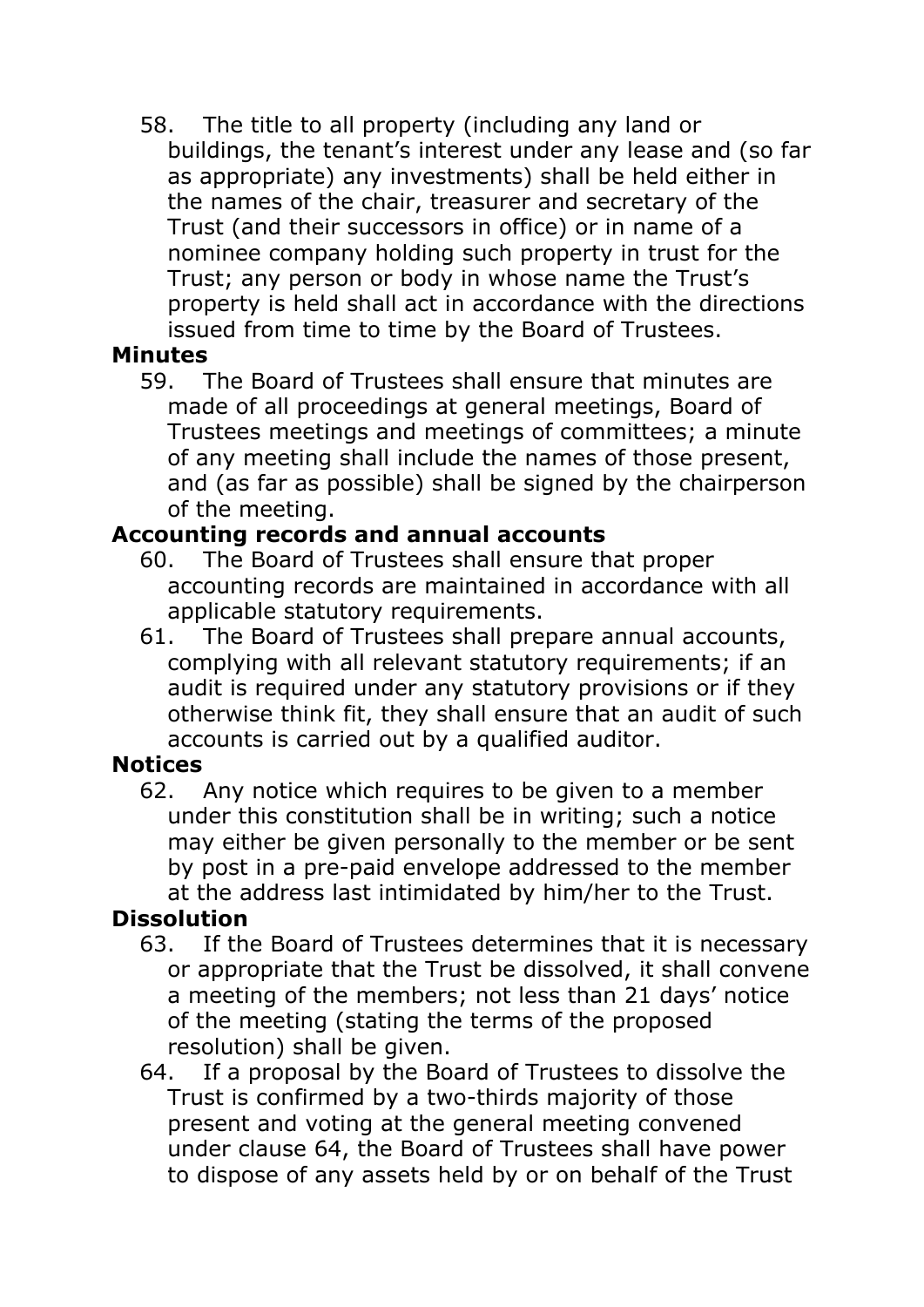58. The title to all property (including any land or buildings, the tenant's interest under any lease and (so far as appropriate) any investments) shall be held either in the names of the chair, treasurer and secretary of the Trust (and their successors in office) or in name of a nominee company holding such property in trust for the Trust; any person or body in whose name the Trust's property is held shall act in accordance with the directions issued from time to time by the Board of Trustees.

### **Minutes**

59. The Board of Trustees shall ensure that minutes are made of all proceedings at general meetings, Board of Trustees meetings and meetings of committees; a minute of any meeting shall include the names of those present, and (as far as possible) shall be signed by the chairperson of the meeting.

## **Accounting records and annual accounts**

- 60. The Board of Trustees shall ensure that proper accounting records are maintained in accordance with all applicable statutory requirements.
- 61. The Board of Trustees shall prepare annual accounts, complying with all relevant statutory requirements; if an audit is required under any statutory provisions or if they otherwise think fit, they shall ensure that an audit of such accounts is carried out by a qualified auditor.

## **Notices**

62. Any notice which requires to be given to a member under this constitution shall be in writing; such a notice may either be given personally to the member or be sent by post in a pre-paid envelope addressed to the member at the address last intimidated by him/her to the Trust.

## **Dissolution**

- 63. If the Board of Trustees determines that it is necessary or appropriate that the Trust be dissolved, it shall convene a meeting of the members; not less than 21 days' notice of the meeting (stating the terms of the proposed resolution) shall be given.
- 64. If a proposal by the Board of Trustees to dissolve the Trust is confirmed by a two-thirds majority of those present and voting at the general meeting convened under clause 64, the Board of Trustees shall have power to dispose of any assets held by or on behalf of the Trust